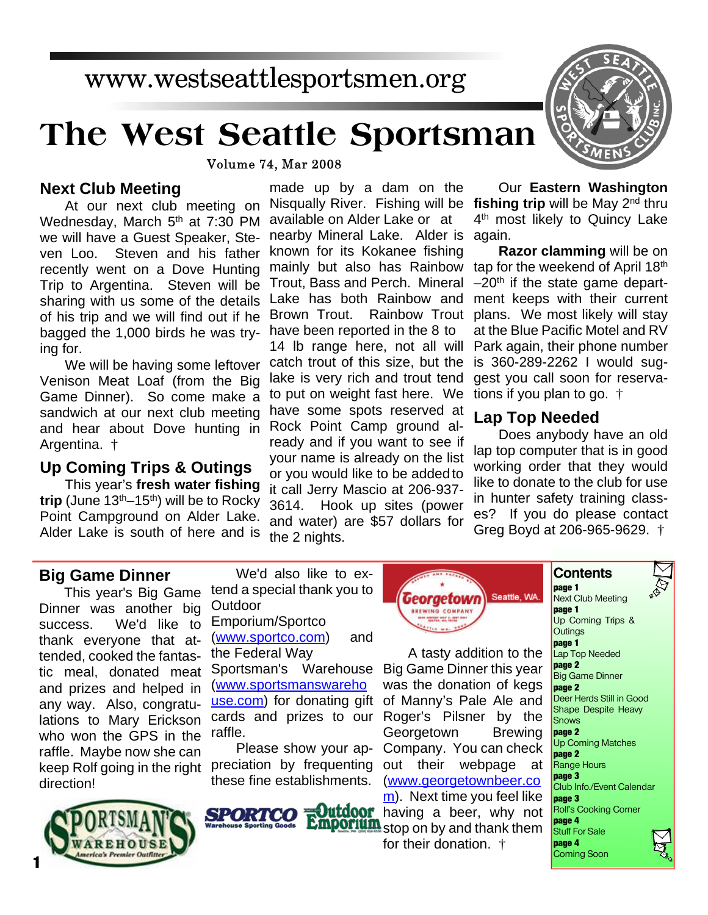## www.westseattlesportsmen.org

# **The West Seattle Sportsman**

**Volume 74, Mar 2008** 

#### **Next Club Meeting**

At our next club meeting on Wednesday, March 5<sup>th</sup> at 7:30 PM we will have a Guest Speaker, Steven Loo. Steven and his father recently went on a Dove Hunting Trip to Argentina. Steven will be sharing with us some of the details of his trip and we will find out if he bagged the 1,000 birds he was trying for.

We will be having some leftover Venison Meat Loaf (from the Big Game Dinner). So come make a sandwich at our next club meeting and hear about Dove hunting in Argentina. †

#### **Up Coming Trips & Outings**

This year's **fresh water fishing trip** (June 13th–15th) will be to Rocky Point Campground on Alder Lake. Alder Lake is south of here and is

made up by a dam on the Nisqually River. Fishing will be fishing trip will be May 2<sup>nd</sup> thru available on Alder Lake or at nearby Mineral Lake. Alder is again. known for its Kokanee fishing mainly but also has Rainbow Trout, Bass and Perch. Mineral Lake has both Rainbow and Brown Trout. Rainbow Trout have been reported in the 8 to 14 lb range here, not all will catch trout of this size, but the lake is very rich and trout tend to put on weight fast here. We have some spots reserved at Rock Point Camp ground already and if you want to see if your name is already on the list or you would like to be added to it call Jerry Mascio at 206-937- 3614. Hook up sites (power and water) are \$57 dollars for the 2 nights.



Our **Eastern Washington** 4<sup>th</sup> most likely to Quincy Lake

**Razor clamming** will be on tap for the weekend of April 18th  $-20<sup>th</sup>$  if the state game department keeps with their current plans. We most likely will stay at the Blue Pacific Motel and RV Park again, their phone number is 360-289-2262 I would suggest you call soon for reservations if you plan to go. †

#### **Lap Top Needed**

Does anybody have an old lap top computer that is in good working order that they would like to donate to the club for use in hunter safety training classes? If you do please contact Greg Boyd at 206-965-9629. †

#### **Big Game Dinner**

This year's Big Game Dinner was another big success. We'd like to thank everyone that attended, cooked the fantastic meal, donated meat and prizes and helped in any way. Also, congratulations to Mary Erickson who won the GPS in the raffle. Maybe now she can keep Rolf going in the right direction!



We'd also like to extend a special thank you to **Outdoor** 

Emporium/Sportco ([www.sportco.com](http://www.sportco.com)) and the Federal Way Sportsman's Warehouse [\(www.sportsmanswareho](http://www.sportsmanswarehouse.com) use.com) for donating gift cards and prizes to our raffle.

Please show your appreciation by frequenting these fine establishments.

SPORTCO



A tasty addition to the Big Game Dinner this year was the donation of kegs of Manny's Pale Ale and Roger's Pilsner by the Georgetown Brewing Company. You can check out their webpage at [\(www.georgetownbeer.co](http://www.georgetownbeer.com) m). Next time you feel like **Outdoor** having a beer, why not **Emportum** stop on by and thank them

for their donation. †

#### **page 1** Next Club Meeting **page 1** Up Coming Trips & **Outings**

**Contents**

**page 1** Lap Top Needed **page 2** Big Game Dinner **page 2** Deer Herds Still in Good Shape Despite Heavy Snows **page 2** Up Coming Matches **page 2** Range Hours **page 3** Club Info./Event Calendar **page 3** Rolf's Cooking Corner **page 4** Stuff For Sale **page 4** Coming Soon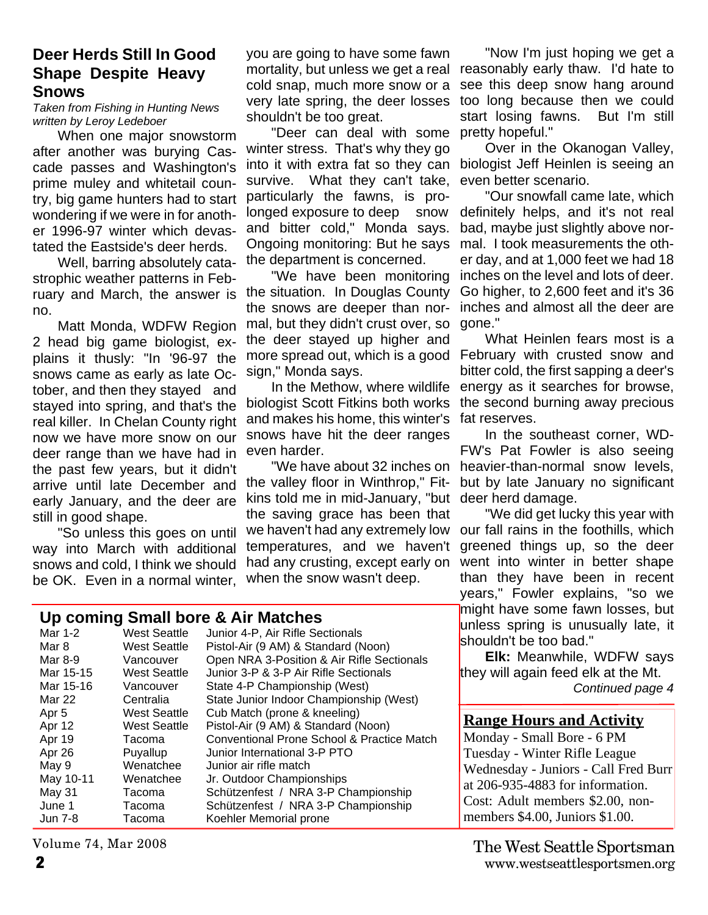#### **Deer Herds Still In Good Shape Despite Heavy Snows**

*Taken from Fishing in Hunting News written by Leroy Ledeboer*

When one major snowstorm after another was burying Cascade passes and Washington's prime muley and whitetail country, big game hunters had to start wondering if we were in for another 1996-97 winter which devastated the Eastside's deer herds.

Well, barring absolutely catastrophic weather patterns in February and March, the answer is no.

Matt Monda, WDFW Region 2 head big game biologist, explains it thusly: "In '96-97 the snows came as early as late October, and then they stayed and stayed into spring, and that's the real killer. In Chelan County right now we have more snow on our deer range than we have had in the past few years, but it didn't arrive until late December and early January, and the deer are still in good shape.

"So unless this goes on until way into March with additional snows and cold, I think we should be OK. Even in a normal winter,

you are going to have some fawn mortality, but unless we get a real reasonably early thaw. I'd hate to cold snap, much more snow or a very late spring, the deer losses shouldn't be too great.

"Deer can deal with some winter stress. That's why they go into it with extra fat so they can survive. What they can't take, particularly the fawns, is prolonged exposure to deep snow and bitter cold," Monda says. Ongoing monitoring: But he says the department is concerned.

"We have been monitoring the situation. In Douglas County the snows are deeper than normal, but they didn't crust over, so the deer stayed up higher and more spread out, which is a good sign," Monda says.

In the Methow, where wildlife biologist Scott Fitkins both works and makes his home, this winter's snows have hit the deer ranges even harder.

"We have about 32 inches on the valley floor in Winthrop," Fitkins told me in mid-January, "but the saving grace has been that we haven't had any extremely low temperatures, and we haven't had any crusting, except early on when the snow wasn't deep.

"Now I'm just hoping we get a see this deep snow hang around too long because then we could start losing fawns. But I'm still pretty hopeful."

Over in the Okanogan Valley, biologist Jeff Heinlen is seeing an even better scenario.

"Our snowfall came late, which definitely helps, and it's not real bad, maybe just slightly above normal. I took measurements the other day, and at 1,000 feet we had 18 inches on the level and lots of deer. Go higher, to 2,600 feet and it's 36 inches and almost all the deer are gone."

What Heinlen fears most is a February with crusted snow and bitter cold, the first sapping a deer's energy as it searches for browse, the second burning away precious fat reserves.

In the southeast corner, WD-FW's Pat Fowler is also seeing heavier-than-normal snow levels, but by late January no significant deer herd damage.

"We did get lucky this year with our fall rains in the foothills, which greened things up, so the deer went into winter in better shape than they have been in recent years," Fowler explains, "so we might have some fawn losses, but unless spring is unusually late, it shouldn't be too bad."

**Elk:** Meanwhile, WDFW says they will again feed elk at the Mt.

*Continued page 4*

#### **Range Hours and Activity**

Monday - Small Bore - 6 PM Tuesday - Winter Rifle League Wednesday - Juniors - Call Fred Burr at 206-935-4883 for information. Cost: Adult members \$2.00, nonmembers \$4.00, Juniors \$1.00.

#### **Up coming Small bore & Air Matches**

| Mar 1-2          | <b>West Seattle</b> | Junior 4-P, Air Rifle Sectionals                      |
|------------------|---------------------|-------------------------------------------------------|
| Mar 8            | <b>West Seattle</b> | Pistol-Air (9 AM) & Standard (Noon)                   |
| Mar 8-9          | Vancouver           | Open NRA 3-Position & Air Rifle Sectionals            |
| Mar 15-15        | <b>West Seattle</b> | Junior 3-P & 3-P Air Rifle Sectionals                 |
| Mar 15-16        | Vancouver           | State 4-P Championship (West)                         |
| Mar 22           | Centralia           | State Junior Indoor Championship (West)               |
| Apr <sub>5</sub> | <b>West Seattle</b> | Cub Match (prone & kneeling)                          |
| Apr 12           | <b>West Seattle</b> | Pistol-Air (9 AM) & Standard (Noon)                   |
| Apr 19           | Tacoma              | <b>Conventional Prone School &amp; Practice Match</b> |
| Apr 26           | Puyallup            | Junior International 3-P PTO                          |
| May 9            | Wenatchee           | Junior air rifle match                                |
| May 10-11        | Wenatchee           | Jr. Outdoor Championships                             |
| May 31           | Tacoma              | Schützenfest / NRA 3-P Championship                   |
| June 1           | Tacoma              | Schützenfest / NRA 3-P Championship                   |
| Jun 7-8          | Tacoma              | Koehler Memorial prone                                |
|                  |                     |                                                       |

Volume 74, Mar 2008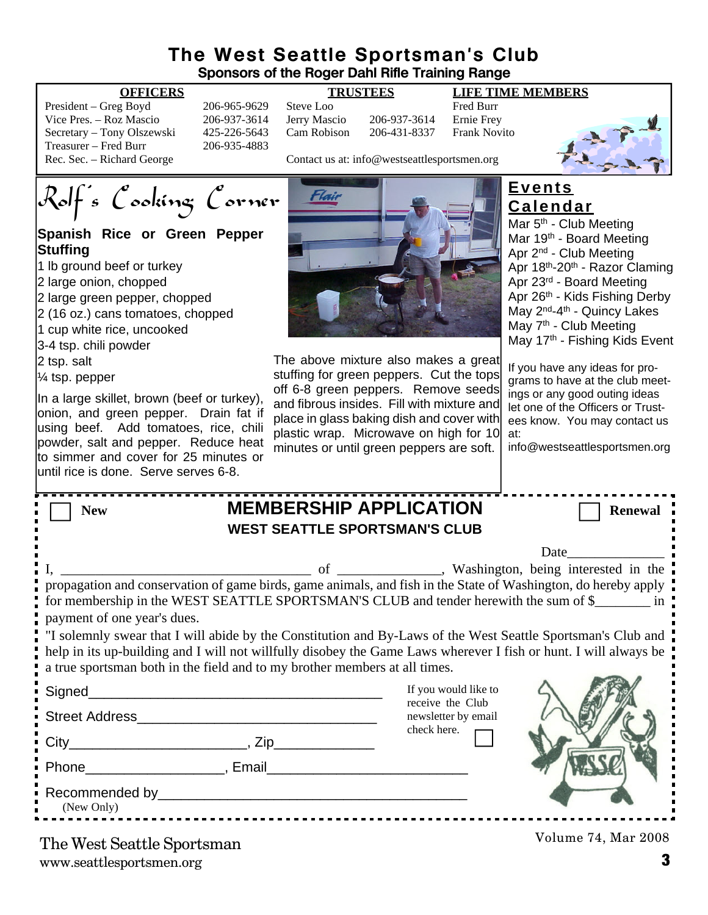#### **The West Seattle Sportsman's Club Sponsors of the Roger Dahl Rifle Training Range**

| President – Greg Boyd      | 206-965-9629 | Steve Loo    |                                              | <b>Fred Burr</b> |
|----------------------------|--------------|--------------|----------------------------------------------|------------------|
| Vice Pres. – Roz Mascio    | 206-937-3614 | Jerry Mascio | 206-937-3614                                 | Ernie Fre        |
| Secretary – Tony Olszewski | 425-226-5643 | Cam Robison  | 206-431-8337                                 | Frank No         |
| Treasurer – Fred Burr      | 206-935-4883 |              |                                              |                  |
| Rec. Sec. – Richard George |              |              | Contact us at: info@westseattlesportsmen.org |                  |

6-937-3614 Jerry Mascio 206-937-3614 Ernie Frey 5-226-5643 Cam Robison 206-431-8337 Frank Novito 5-935-4883

**OFFICERS TRUSTEES LIFE TIME MEMBERS**



Contact us at: info@westseattlesportsmen.org

Rolf's Cooking Corner

#### **Spanish Rice or Green Pepper Stuffing**

- 1 lb ground beef or turkey
- 2 large onion, chopped
- 2 large green pepper, chopped
- 2 (16 oz.) cans tomatoes, chopped
- 1 cup white rice, uncooked
- 3-4 tsp. chili powder
- 2 tsp. salt
- $\frac{1}{4}$  tsp. pepper

In a large skillet, brown (beef or turkey), onion, and green pepper. Drain fat if using beef. Add tomatoes, rice, chili powder, salt and pepper. Reduce heat to simmer and cover for 25 minutes or until rice is done. Serve serves 6-8.



The above mixture also makes a great stuffing for green peppers. Cut the tops off 6-8 green peppers. Remove seeds and fibrous insides. Fill with mixture and place in glass baking dish and cover with plastic wrap. Microwave on high for 10 minutes or until green peppers are soft.

### **Events Calendar**

Mar 5<sup>th</sup> - Club Meeting Mar 19<sup>th</sup> - Board Meeting Apr 2nd - Club Meeting Apr 18th-20th - Razor Claming Apr 23rd - Board Meeting Apr 26th - Kids Fishing Derby May 2<sup>nd</sup>-4<sup>th</sup> - Quincy Lakes May 7<sup>th</sup> - Club Meeting May 17<sup>th</sup> - Fishing Kids Event

If you have any ideas for programs to have at the club meetings or any good outing ideas let one of the Officers or Trustees know. You may contact us at:

info@westseattlesportsmen.org

| <b>New</b>                                                                                                                                                                                                                                                                                                                                                                                                                                                                                                                                                                                                                                                                                                                                                                                  |  | <b>MEMBERSHIP APPLICATION</b><br><b>WEST SEATTLE SPORTSMAN'S CLUB</b>          | <b>Renewal</b>      |  |  |  |
|---------------------------------------------------------------------------------------------------------------------------------------------------------------------------------------------------------------------------------------------------------------------------------------------------------------------------------------------------------------------------------------------------------------------------------------------------------------------------------------------------------------------------------------------------------------------------------------------------------------------------------------------------------------------------------------------------------------------------------------------------------------------------------------------|--|--------------------------------------------------------------------------------|---------------------|--|--|--|
| Date and the same state of the state of the state of the state of the state of the state of the state of the state of the state of the state of the state of the state of the state of the state of the state of the state of<br>propagation and conservation of game birds, game animals, and fish in the State of Washington, do hereby apply<br>for membership in the WEST SEATTLE SPORTSMAN'S CLUB and tender herewith the sum of \$<br>payment of one year's dues.<br>. "I solemnly swear that I will abide by the Constitution and By-Laws of the West Seattle Sportsman's Club and<br>help in its up-building and I will not willfully disobey the Game Laws wherever I fish or hunt. I will always be<br>a true sportsman both in the field and to my brother members at all times. |  |                                                                                |                     |  |  |  |
| $City$ $Zip$                                                                                                                                                                                                                                                                                                                                                                                                                                                                                                                                                                                                                                                                                                                                                                                |  | If you would like to<br>receive the Club<br>newsletter by email<br>check here. |                     |  |  |  |
| Phone <b>Email</b> Phone <b>Phone Phone Phone Phone Phone Phone Phone Phone Phone Phone Phone Phone Phone Phone Phone Phone Phone Phone Phone Phone Phone Phone Phone Phone Phone P</b><br>(New Only)                                                                                                                                                                                                                                                                                                                                                                                                                                                                                                                                                                                       |  |                                                                                |                     |  |  |  |
| The West Seattle Sportsman                                                                                                                                                                                                                                                                                                                                                                                                                                                                                                                                                                                                                                                                                                                                                                  |  |                                                                                | Volume 74, Mar 2008 |  |  |  |

www.seattlesportsmen.org **3** The West Seattle Sportsman